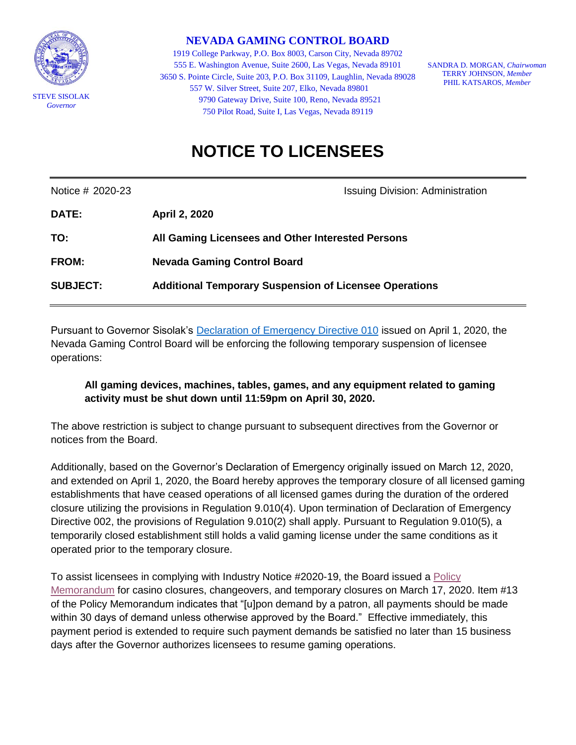

**NEVADA GAMING CONTROL BOARD**

1919 College Parkway, P.O. Box 8003, Carson City, Nevada 89702 555 E. Washington Avenue, Suite 2600, Las Vegas, Nevada 89101 3650 S. Pointe Circle, Suite 203, P.O. Box 31109, Laughlin, Nevada 89028 557 W. Silver Street, Suite 207, Elko, Nevada 89801 9790 Gateway Drive, Suite 100, Reno, Nevada 89521 750 Pilot Road, Suite I, Las Vegas, Nevada 89119

SANDRA D. MORGAN, *Chairwoman* TERRY JOHNSON, *Member* PHIL KATSAROS*, Member*

## **NOTICE TO LICENSEES**

Notice # 2020-23 **ISSUING ACCOMPTED** ISSUING Division: Administration

| <b>DATE:</b>    | <b>April 2, 2020</b>                                          |
|-----------------|---------------------------------------------------------------|
| TO:             | All Gaming Licensees and Other Interested Persons             |
| <b>FROM:</b>    | <b>Nevada Gaming Control Board</b>                            |
| <b>SUBJECT:</b> | <b>Additional Temporary Suspension of Licensee Operations</b> |

Pursuant to Governor Sisolak's [Declaration of Emergency Directive 010](http://gov.nv.gov/News/Emergency_Orders/2020/2020-03-31_-_COVID-19_Declaration_of_Emergency_Directive_010_-_Stay_at_Home_Order/) issued on April 1, 2020, the Nevada Gaming Control Board will be enforcing the following temporary suspension of licensee operations:

## **All gaming devices, machines, tables, games, and any equipment related to gaming activity must be shut down until 11:59pm on April 30, 2020.**

The above restriction is subject to change pursuant to subsequent directives from the Governor or notices from the Board.

Additionally, based on the Governor's Declaration of Emergency originally issued on March 12, 2020, and extended on April 1, 2020, the Board hereby approves the temporary closure of all licensed gaming establishments that have ceased operations of all licensed games during the duration of the ordered closure utilizing the provisions in Regulation 9.010(4). Upon termination of Declaration of Emergency Directive 002, the provisions of Regulation 9.010(2) shall apply. Pursuant to Regulation 9.010(5), a temporarily closed establishment still holds a valid gaming license under the same conditions as it operated prior to the temporary closure.

To assist licensees in complying with Industry Notice #2020-19, the Board issued a [Policy](https://gaming.nv.gov/index.aspx?recordid=2236&page=26)  [Memorandum](https://gaming.nv.gov/index.aspx?recordid=2236&page=26) for casino closures, changeovers, and temporary closures on March 17, 2020. Item #13 of the Policy Memorandum indicates that "[u]pon demand by a patron, all payments should be made within 30 days of demand unless otherwise approved by the Board." Effective immediately, this payment period is extended to require such payment demands be satisfied no later than 15 business days after the Governor authorizes licensees to resume gaming operations.